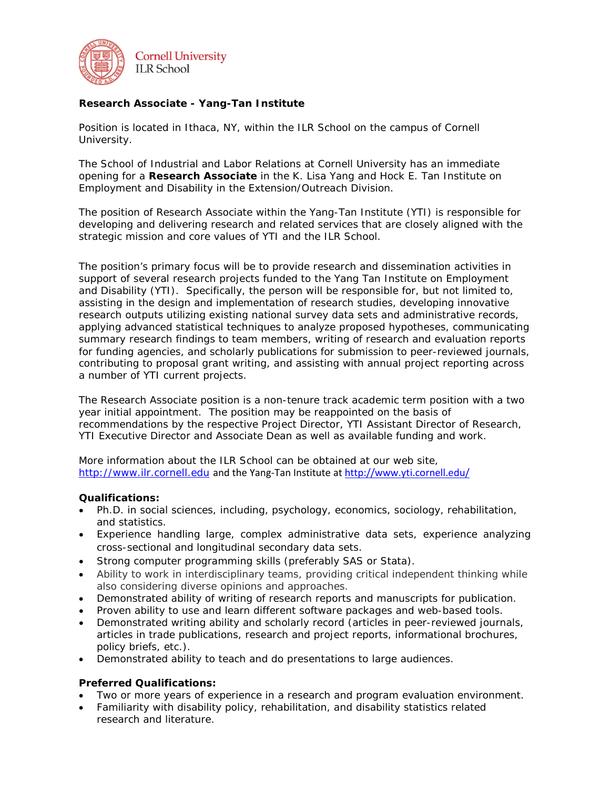

## **Research Associate - Yang-Tan Institute**

*Position is located in Ithaca, NY, within the ILR School on the campus of Cornell University.*

The School of Industrial and Labor Relations at Cornell University has an immediate opening for a **Research Associate** in the K. Lisa Yang and Hock E. Tan Institute on Employment and Disability in the Extension/Outreach Division.

The position of Research Associate within the Yang-Tan Institute (YTI) is responsible for developing and delivering research and related services that are closely aligned with the strategic mission and core values of YTI and the ILR School.

The position's primary focus will be to provide research and dissemination activities in support of several research projects funded to the Yang Tan Institute on Employment and Disability (YTI). Specifically, the person will be responsible for, but not limited to, assisting in the design and implementation of research studies, developing innovative research outputs utilizing existing national survey data sets and administrative records, applying advanced statistical techniques to analyze proposed hypotheses, communicating summary research findings to team members, writing of research and evaluation reports for funding agencies, and scholarly publications for submission to peer-reviewed journals, contributing to proposal grant writing, and assisting with annual project reporting across a number of YTI current projects.

The Research Associate position is a non-tenure track academic term position with a two year initial appointment. The position may be reappointed on the basis of recommendations by the respective Project Director, YTI Assistant Director of Research, YTI Executive Director and Associate Dean as well as available funding and work.

More information about the ILR School can be obtained at our web site, [http://www.ilr.cornell.edu](http://www.ilr.cornell.edu/) and the Yang-Tan Institute at<http://www.yti.cornell.edu/>

## **Qualifications:**

- Ph.D. in social sciences, including, psychology, economics, sociology, rehabilitation, and statistics.
- Experience handling large, complex administrative data sets, experience analyzing cross-sectional and longitudinal secondary data sets.
- Strong computer programming skills (preferably SAS or Stata).
- Ability to work in interdisciplinary teams, providing critical independent thinking while also considering diverse opinions and approaches.
- Demonstrated ability of writing of research reports and manuscripts for publication.
- Proven ability to use and learn different software packages and web-based tools.
- Demonstrated writing ability and scholarly record (articles in peer-reviewed journals, articles in trade publications, research and project reports, informational brochures, policy briefs, etc.).
- Demonstrated ability to teach and do presentations to large audiences.

## **Preferred Qualifications:**

- Two or more years of experience in a research and program evaluation environment.
- Familiarity with disability policy, rehabilitation, and disability statistics related research and literature.